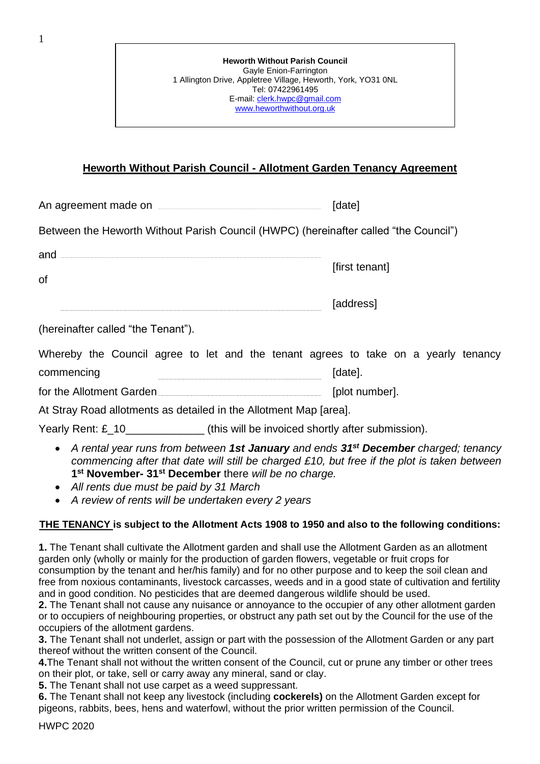| <b>Heworth Without Parish Council</b>                         |
|---------------------------------------------------------------|
| Gayle Enion-Farrington                                        |
| 1 Allington Drive, Appletree Village, Heworth, York, YO31 0NL |
| Tel: 07422961495                                              |
| E-mail: clerk.hwpc@gmail.com                                  |
| www.heworthwithout.org.uk                                     |
|                                                               |

## **Heworth Without Parish Council - Allotment Garden Tenancy Agreement**

| An agreement made on |  | [date] |
|----------------------|--|--------|
|----------------------|--|--------|

Between the Heworth Without Parish Council (HWPC) (hereinafter called "the Council")

| ano |                |
|-----|----------------|
|     | [first tenant] |
| οt  |                |

|--|--|

(hereinafter called "the Tenant").

| Whereby the Council agree to let and the tenant agrees to take on a yearly tenancy |  |  |  |  |         |                |  |  |
|------------------------------------------------------------------------------------|--|--|--|--|---------|----------------|--|--|
| commencing                                                                         |  |  |  |  | [date]. |                |  |  |
| for the Allotment Garden                                                           |  |  |  |  |         | [plot number]. |  |  |

At Stray Road allotments as detailed in the Allotment Map [area].

Yearly Rent: £\_10\_\_\_\_\_\_\_\_\_\_\_\_\_ (this will be invoiced shortly after submission).

- *A rental year runs from between 1st January and ends 31st December charged; tenancy commencing after that date will still be charged £10, but free if the plot is taken between* **1 st November- 31st December** there *will be no charge.*
- *All rents due must be paid by 31 March*
- *A review of rents will be undertaken every 2 years*

## **THE TENANCY is subject to the Allotment Acts 1908 to 1950 and also to the following conditions:**

**1.** The Tenant shall cultivate the Allotment garden and shall use the Allotment Garden as an allotment garden only (wholly or mainly for the production of garden flowers, vegetable or fruit crops for consumption by the tenant and her/his family) and for no other purpose and to keep the soil clean and free from noxious contaminants, livestock carcasses, weeds and in a good state of cultivation and fertility and in good condition. No pesticides that are deemed dangerous wildlife should be used.

**2.** The Tenant shall not cause any nuisance or annoyance to the occupier of any other allotment garden or to occupiers of neighbouring properties, or obstruct any path set out by the Council for the use of the occupiers of the allotment gardens.

**3.** The Tenant shall not underlet, assign or part with the possession of the Allotment Garden or any part thereof without the written consent of the Council.

**4.**The Tenant shall not without the written consent of the Council, cut or prune any timber or other trees on their plot, or take, sell or carry away any mineral, sand or clay.

**5.** The Tenant shall not use carpet as a weed suppressant.

**6.** The Tenant shall not keep any livestock (including **cockerels)** on the Allotment Garden except for pigeons, rabbits, bees, hens and waterfowl, without the prior written permission of the Council.